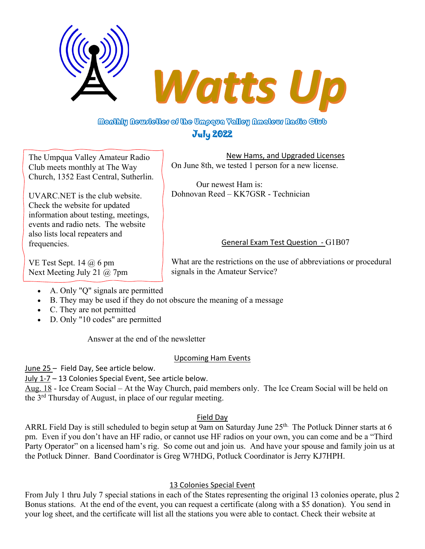

# Monthly Newsletter of the Umpqua Yalley Nmateur Radio Club July 2022

The Umpqua Valley Amateur Radio Club meets monthly at The Way Church, 1352 East Central, Sutherlin.

UVARC.NET is the club website. Check the website for updated information about testing, meetings, events and radio nets. The website also lists local repeaters and frequencies.

VE Test Sept. 14  $\omega$  6 pm Next Meeting July 21 @ 7pm

New Hams, and Upgraded Licenses On June 8th, we tested 1 person for a new license.

Our newest Ham is: Dohnovan Reed – KK7GSR - Technician

## General Exam Test Question - G1B07

What are the restrictions on the use of abbreviations or procedural signals in the Amateur Service?

- A. Only "Q" signals are permitted
- B. They may be used if they do not obscure the meaning of a message
- C. They are not permitted
- D. Only "10 codes" are permitted

Answer at the end of the newsletter

## Upcoming Ham Events

June 25 – Field Day, See article below.

July 1-7 – 13 Colonies Special Event, See article below.

Aug. 18 - Ice Cream Social – At the Way Church, paid members only. The Ice Cream Social will be held on the 3rd Thursday of August, in place of our regular meeting.

## Field Day

ARRL Field Day is still scheduled to begin setup at 9am on Saturday June 25<sup>th.</sup> The Potluck Dinner starts at 6 pm. Even if you don't have an HF radio, or cannot use HF radios on your own, you can come and be a "Third Party Operator" on a licensed ham's rig. So come out and join us. And have your spouse and family join us at the Potluck Dinner. Band Coordinator is Greg W7HDG, Potluck Coordinator is Jerry KJ7HPH.

## 13 Colonies Special Event

From July 1 thru July 7 special stations in each of the States representing the original 13 colonies operate, plus 2 Bonus stations. At the end of the event, you can request a certificate (along with a \$5 donation). You send in your log sheet, and the certificate will list all the stations you were able to contact. Check their website at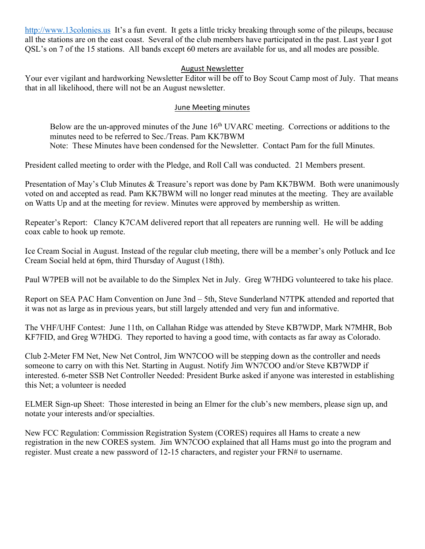http://www.13colonies.us It's a fun event. It gets a little tricky breaking through some of the pileups, because all the stations are on the east coast. Several of the club members have participated in the past. Last year I got QSL's on 7 of the 15 stations. All bands except 60 meters are available for us, and all modes are possible.

#### August Newsletter

Your ever vigilant and hardworking Newsletter Editor will be off to Boy Scout Camp most of July. That means that in all likelihood, there will not be an August newsletter.

#### June Meeting minutes

Below are the un-approved minutes of the June 16<sup>th</sup> UVARC meeting. Corrections or additions to the minutes need to be referred to Sec./Treas. Pam KK7BWM Note: These Minutes have been condensed for the Newsletter. Contact Pam for the full Minutes.

President called meeting to order with the Pledge, and Roll Call was conducted. 21 Members present.

Presentation of May's Club Minutes & Treasure's report was done by Pam KK7BWM. Both were unanimously voted on and accepted as read. Pam KK7BWM will no longer read minutes at the meeting. They are available on Watts Up and at the meeting for review. Minutes were approved by membership as written.

Repeater's Report: Clancy K7CAM delivered report that all repeaters are running well. He will be adding coax cable to hook up remote.

Ice Cream Social in August. Instead of the regular club meeting, there will be a member's only Potluck and Ice Cream Social held at 6pm, third Thursday of August (18th).

Paul W7PEB will not be available to do the Simplex Net in July. Greg W7HDG volunteered to take his place.

Report on SEA PAC Ham Convention on June 3nd – 5th, Steve Sunderland N7TPK attended and reported that it was not as large as in previous years, but still largely attended and very fun and informative.

The VHF/UHF Contest: June 11th, on Callahan Ridge was attended by Steve KB7WDP, Mark N7MHR, Bob KF7FID, and Greg W7HDG. They reported to having a good time, with contacts as far away as Colorado.

Club 2-Meter FM Net, New Net Control, Jim WN7COO will be stepping down as the controller and needs someone to carry on with this Net. Starting in August. Notify Jim WN7COO and/or Steve KB7WDP if interested. 6-meter SSB Net Controller Needed: President Burke asked if anyone was interested in establishing this Net; a volunteer is needed

ELMER Sign-up Sheet: Those interested in being an Elmer for the club's new members, please sign up, and notate your interests and/or specialties.

New FCC Regulation: Commission Registration System (CORES) requires all Hams to create a new registration in the new CORES system. Jim WN7COO explained that all Hams must go into the program and register. Must create a new password of 12-15 characters, and register your FRN# to username.